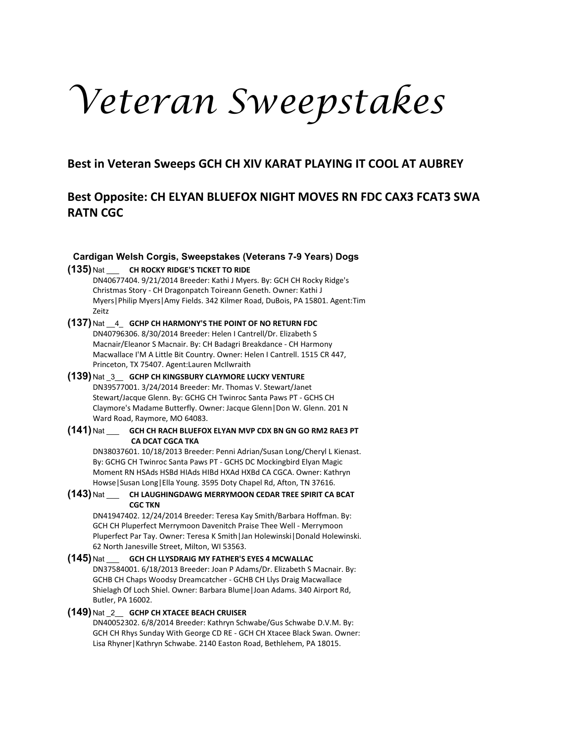# *Veteran Sweepstakes*

**Best in Veteran Sweeps GCH CH XIV KARAT PLAYING IT COOL AT AUBREY**

# **Best Opposite: CH ELYAN BLUEFOX NIGHT MOVES RN FDC CAX3 FCAT3 SWA RATN CGC**

# **Cardigan Welsh Corgis, Sweepstakes (Veterans 7-9 Years) Dogs**

# **(135)** Nat \_\_\_ **CH ROCKY RIDGE'S TICKET TO RIDE**

DN40677404. 9/21/2014 Breeder: Kathi J Myers. By: GCH CH Rocky Ridge's Christmas Story - CH Dragonpatch Toireann Geneth. Owner: Kathi J Myers|Philip Myers|Amy Fields. 342 Kilmer Road, DuBois, PA 15801. Agent:Tim Zeitz

**(137)** Nat \_\_4\_ **GCHP CH HARMONY'S THE POINT OF NO RETURN FDC** DN40796306. 8/30/2014 Breeder: Helen I Cantrell/Dr. Elizabeth S Macnair/Eleanor S Macnair. By: CH Badagri Breakdance - CH Harmony Macwallace I'M A Little Bit Country. Owner: Helen I Cantrell. 1515 CR 447, Princeton, TX 75407. Agent:Lauren McIlwraith

# **(139)** Nat \_3\_\_ **GCHP CH KINGSBURY CLAYMORE LUCKY VENTURE** DN39577001. 3/24/2014 Breeder: Mr. Thomas V. Stewart/Janet Stewart/Jacque Glenn. By: GCHG CH Twinroc Santa Paws PT - GCHS CH Claymore's Madame Butterfly. Owner: Jacque Glenn|Don W. Glenn. 201 N Ward Road, Raymore, MO 64083.

#### **(141)** Nat \_\_\_ **GCH CH RACH BLUEFOX ELYAN MVP CDX BN GN GO RM2 RAE3 PT CA DCAT CGCA TKA**

DN38037601. 10/18/2013 Breeder: Penni Adrian/Susan Long/Cheryl L Kienast. By: GCHG CH Twinroc Santa Paws PT - GCHS DC Mockingbird Elyan Magic Moment RN HSAds HSBd HIAds HIBd HXAd HXBd CA CGCA. Owner: Kathryn Howse|Susan Long|Ella Young. 3595 Doty Chapel Rd, Afton, TN 37616.

# **(143)** Nat \_\_\_ **CH LAUGHINGDAWG MERRYMOON CEDAR TREE SPIRIT CA BCAT CGC TKN**

DN41947402. 12/24/2014 Breeder: Teresa Kay Smith/Barbara Hoffman. By: GCH CH Pluperfect Merrymoon Davenitch Praise Thee Well - Merrymoon Pluperfect Par Tay. Owner: Teresa K Smith|Jan Holewinski|Donald Holewinski. 62 North Janesville Street, Milton, WI 53563.

#### **(145)** Nat \_\_\_ **GCH CH LLYSDRAIG MY FATHER'S EYES 4 MCWALLAC** DN37584001. 6/18/2013 Breeder: Joan P Adams/Dr. Elizabeth S Macnair. By: GCHB CH Chaps Woodsy Dreamcatcher - GCHB CH Llys Draig Macwallace Shielagh Of Loch Shiel. Owner: Barbara Blume|Joan Adams. 340 Airport Rd, Butler, PA 16002.

# **(149)** Nat \_2\_\_ **GCHP CH XTACEE BEACH CRUISER**

DN40052302. 6/8/2014 Breeder: Kathryn Schwabe/Gus Schwabe D.V.M. By: GCH CH Rhys Sunday With George CD RE - GCH CH Xtacee Black Swan. Owner: Lisa Rhyner|Kathryn Schwabe. 2140 Easton Road, Bethlehem, PA 18015.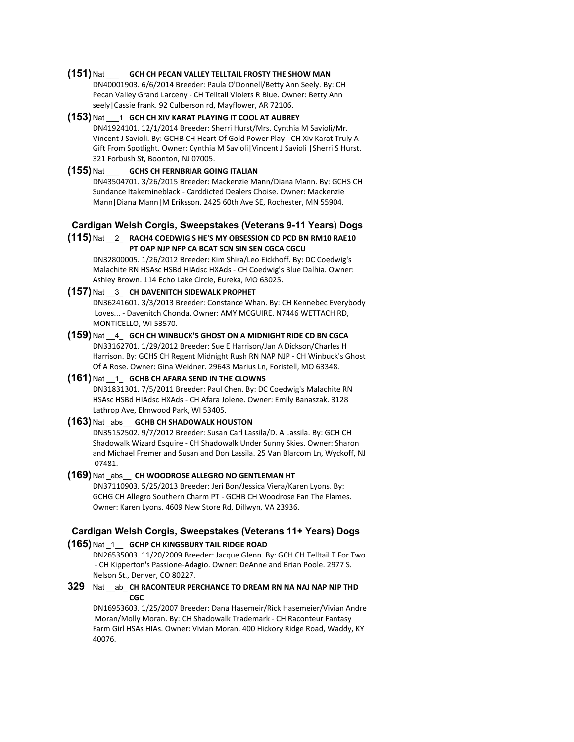#### **(151)** Nat \_\_\_ **GCH CH PECAN VALLEY TELLTAIL FROSTY THE SHOW MAN**

DN40001903. 6/6/2014 Breeder: Paula O'Donnell/Betty Ann Seely. By: CH Pecan Valley Grand Larceny - CH Telltail Violets R Blue. Owner: Betty Ann seely|Cassie frank. 92 Culberson rd, Mayflower, AR 72106.

#### **(153)** Nat \_\_\_1 **GCH CH XIV KARAT PLAYING IT COOL AT AUBREY** DN41924101. 12/1/2014 Breeder: Sherri Hurst/Mrs. Cynthia M Savioli/Mr. Vincent J Savioli. By: GCHB CH Heart Of Gold Power Play - CH Xiv Karat Truly A Gift From Spotlight. Owner: Cynthia M Savioli|Vincent J Savioli |Sherri S Hurst. 321 Forbush St, Boonton, NJ 07005.

# **(155)** Nat \_\_\_ **GCHS CH FERNBRIAR GOING ITALIAN**

DN43504701. 3/26/2015 Breeder: Mackenzie Mann/Diana Mann. By: GCHS CH Sundance Itakemineblack - Carddicted Dealers Choise. Owner: Mackenzie Mann|Diana Mann|M Eriksson. 2425 60th Ave SE, Rochester, MN 55904.

#### **Cardigan Welsh Corgis, Sweepstakes (Veterans 9-11 Years) Dogs**

#### **(115)** Nat \_\_2\_ **RACH4 COEDWIG'S HE'S MY OBSESSION CD PCD BN RM10 RAE10 PT OAP NJP NFP CA BCAT SCN SIN SEN CGCA CGCU**

DN32800005. 1/26/2012 Breeder: Kim Shira/Leo Eickhoff. By: DC Coedwig's Malachite RN HSAsc HSBd HIAdsc HXAds - CH Coedwig's Blue Dalhia. Owner: Ashley Brown. 114 Echo Lake Circle, Eureka, MO 63025.

# **(157)** Nat \_\_3\_ **CH DAVENITCH SIDEWALK PROPHET**

DN36241601. 3/3/2013 Breeder: Constance Whan. By: CH Kennebec Everybody Loves... - Davenitch Chonda. Owner: AMY MCGUIRE. N7446 WETTACH RD, MONTICELLO, WI 53570.

#### **(159)** Nat \_\_4\_ **GCH CH WINBUCK'S GHOST ON A MIDNIGHT RIDE CD BN CGCA** DN33162701. 1/29/2012 Breeder: Sue E Harrison/Jan A Dickson/Charles H Harrison. By: GCHS CH Regent Midnight Rush RN NAP NJP - CH Winbuck's Ghost Of A Rose. Owner: Gina Weidner. 29643 Marius Ln, Foristell, MO 63348.

#### **(161)** Nat \_\_1\_ **GCHB CH AFARA SEND IN THE CLOWNS**

DN31831301. 7/5/2011 Breeder: Paul Chen. By: DC Coedwig's Malachite RN HSAsc HSBd HIAdsc HXAds - CH Afara Jolene. Owner: Emily Banaszak. 3128 Lathrop Ave, Elmwood Park, WI 53405.

# **(163)** Nat \_abs\_\_ **GCHB CH SHADOWALK HOUSTON**

DN35152502. 9/7/2012 Breeder: Susan Carl Lassila/D. A Lassila. By: GCH CH Shadowalk Wizard Esquire - CH Shadowalk Under Sunny Skies. Owner: Sharon and Michael Fremer and Susan and Don Lassila. 25 Van Blarcom Ln, Wyckoff, NJ 07481.

#### **(169)** Nat \_abs\_\_ **CH WOODROSE ALLEGRO NO GENTLEMAN HT**

DN37110903. 5/25/2013 Breeder: Jeri Bon/Jessica Viera/Karen Lyons. By: GCHG CH Allegro Southern Charm PT - GCHB CH Woodrose Fan The Flames. Owner: Karen Lyons. 4609 New Store Rd, Dillwyn, VA 23936.

# **Cardigan Welsh Corgis, Sweepstakes (Veterans 11+ Years) Dogs**

#### **(165)** Nat \_1\_\_ **GCHP CH KINGSBURY TAIL RIDGE ROAD**

DN26535003. 11/20/2009 Breeder: Jacque Glenn. By: GCH CH Telltail T For Two - CH Kipperton's Passione-Adagio. Owner: DeAnne and Brian Poole. 2977 S. Nelson St., Denver, CO 80227.

# **329** Nat \_\_ab\_ **CH RACONTEUR PERCHANCE TO DREAM RN NA NAJ NAP NJP THD CGC**

DN16953603. 1/25/2007 Breeder: Dana Hasemeir/Rick Hasemeier/Vivian Andre Moran/Molly Moran. By: CH Shadowalk Trademark - CH Raconteur Fantasy Farm Girl HSAs HIAs. Owner: Vivian Moran. 400 Hickory Ridge Road, Waddy, KY 40076.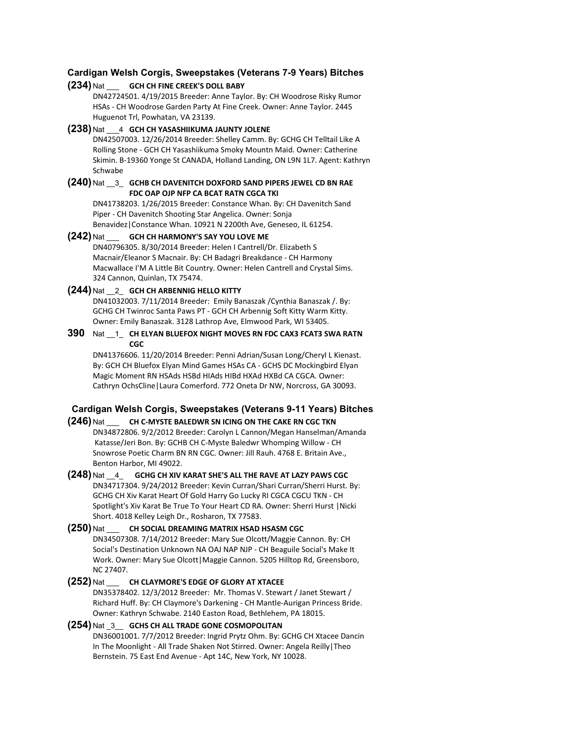# **Cardigan Welsh Corgis, Sweepstakes (Veterans 7-9 Years) Bitches**

#### **(234)** Nat \_\_\_ **GCH CH FINE CREEK'S DOLL BABY**

DN42724501. 4/19/2015 Breeder: Anne Taylor. By: CH Woodrose Risky Rumor HSAs - CH Woodrose Garden Party At Fine Creek. Owner: Anne Taylor. 2445 Huguenot Trl, Powhatan, VA 23139.

#### **(238)** Nat \_\_\_4 **GCH CH YASASHIIKUMA JAUNTY JOLENE**

DN42507003. 12/26/2014 Breeder: Shelley Camm. By: GCHG CH Telltail Like A Rolling Stone - GCH CH Yasashiikuma Smoky Mountn Maid. Owner: Catherine Skimin. B-19360 Yonge St CANADA, Holland Landing, ON L9N 1L7. Agent: Kathryn Schwabe

#### **(240)** Nat \_\_3\_ **GCHB CH DAVENITCH DOXFORD SAND PIPERS JEWEL CD BN RAE FDC OAP OJP NFP CA BCAT RATN CGCA TKI**

DN41738203. 1/26/2015 Breeder: Constance Whan. By: CH Davenitch Sand Piper - CH Davenitch Shooting Star Angelica. Owner: Sonja Benavidez|Constance Whan. 10921 N 2200th Ave, Geneseo, IL 61254.

#### **(242)** Nat \_\_\_ **GCH CH HARMONY'S SAY YOU LOVE ME**

DN40796305. 8/30/2014 Breeder: Helen I Cantrell/Dr. Elizabeth S Macnair/Eleanor S Macnair. By: CH Badagri Breakdance - CH Harmony Macwallace I'M A Little Bit Country. Owner: Helen Cantrell and Crystal Sims. 324 Cannon, Quinlan, TX 75474.

#### **(244)** Nat \_\_2\_ **GCH CH ARBENNIG HELLO KITTY**

DN41032003. 7/11/2014 Breeder: Emily Banaszak /Cynthia Banaszak /. By: GCHG CH Twinroc Santa Paws PT - GCH CH Arbennig Soft Kitty Warm Kitty. Owner: Emily Banaszak. 3128 Lathrop Ave, Elmwood Park, WI 53405.

#### **390** Nat \_\_1\_ **CH ELYAN BLUEFOX NIGHT MOVES RN FDC CAX3 FCAT3 SWA RATN CGC**

DN41376606. 11/20/2014 Breeder: Penni Adrian/Susan Long/Cheryl L Kienast. By: GCH CH Bluefox Elyan Mind Games HSAs CA - GCHS DC Mockingbird Elyan Magic Moment RN HSAds HSBd HIAds HIBd HXAd HXBd CA CGCA. Owner: Cathryn OchsCline|Laura Comerford. 772 Oneta Dr NW, Norcross, GA 30093.

# **Cardigan Welsh Corgis, Sweepstakes (Veterans 9-11 Years) Bitches**

#### **(246)** Nat \_\_\_ **CH C-MYSTE BALEDWR SN ICING ON THE CAKE RN CGC TKN**

DN34872806. 9/2/2012 Breeder: Carolyn L Cannon/Megan Hanselman/Amanda Katasse/Jeri Bon. By: GCHB CH C-Myste Baledwr Whomping Willow - CH Snowrose Poetic Charm BN RN CGC. Owner: Jill Rauh. 4768 E. Britain Ave., Benton Harbor, MI 49022.

**(248)** Nat \_\_4\_ **GCHG CH XIV KARAT SHE'S ALL THE RAVE AT LAZY PAWS CGC** DN34717304. 9/24/2012 Breeder: Kevin Curran/Shari Curran/Sherri Hurst. By: GCHG CH Xiv Karat Heart Of Gold Harry Go Lucky RI CGCA CGCU TKN - CH Spotlight's Xiv Karat Be True To Your Heart CD RA. Owner: Sherri Hurst |Nicki Short. 4018 Kelley Leigh Dr., Rosharon, TX 77583.

# **(250)** Nat \_\_\_ **CH SOCIAL DREAMING MATRIX HSAD HSASM CGC** DN34507308. 7/14/2012 Breeder: Mary Sue Olcott/Maggie Cannon. By: CH Social's Destination Unknown NA OAJ NAP NJP - CH Beaguile Social's Make It Work. Owner: Mary Sue Olcott|Maggie Cannon. 5205 Hilltop Rd, Greensboro, NC 27407.

# **(252)** Nat \_\_\_ **CH CLAYMORE'S EDGE OF GLORY AT XTACEE** DN35378402. 12/3/2012 Breeder: Mr. Thomas V. Stewart / Janet Stewart / Richard Huff. By: CH Claymore's Darkening - CH Mantle-Aurigan Princess Bride. Owner: Kathryn Schwabe. 2140 Easton Road, Bethlehem, PA 18015.

#### **(254)** Nat \_3\_\_ **GCHS CH ALL TRADE GONE COSMOPOLITAN** DN36001001. 7/7/2012 Breeder: Ingrid Prytz Ohm. By: GCHG CH Xtacee Dancin In The Moonlight - All Trade Shaken Not Stirred. Owner: Angela Reilly|Theo Bernstein. 75 East End Avenue - Apt 14C, New York, NY 10028.